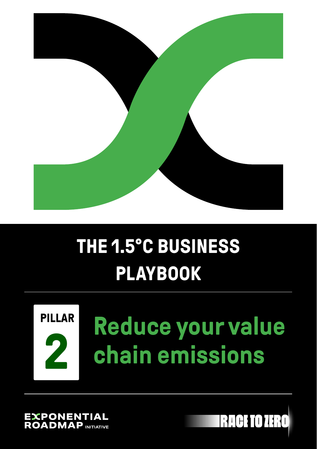

### **THE 1.5°C BUSINESS PLAYBOOK**

# **PILLAR**

## **Reduce your value 2 chain emissions**

XPONEN **OADMAP** 

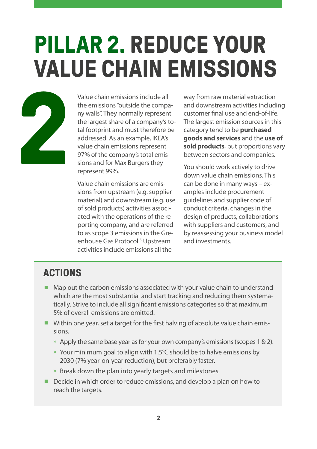## **PILLAR 2. REDUCE YOUR VALUE CHAIN EMISSIONS**



Value chain emissions include all the emissions "outside the company walls". They normally represent the largest share of a company's total footprint and must therefore be addressed. As an example, IKEA's value chain emissions represent 97% of the company's total emissions and for Max Burgers they represent 99%.

Value chain emissions are emissions from upstream (e.g. supplier material) and downstream (e.g. use of sold products) activities associated with the operations of the reporting company, and are referred to as scope 3 emissions in the Greenhouse Gas Protocol.<sup>5</sup> Upstream activities include emissions all the

way from raw material extraction and downstream activities including customer final use and end-of-life. The largest emission sources in this category tend to be **purchased goods and services** and the **use of sold products**, but proportions vary between sectors and companies.

You should work actively to drive down value chain emissions. This can be done in many ways – examples include procurement guidelines and supplier code of conduct criteria, changes in the design of products, collaborations with suppliers and customers, and by reassessing your business model and investments.

#### **ACTIONS**

- Map out the carbon emissions associated with your value chain to understand which are the most substantial and start tracking and reducing them systematically. Strive to include all significant emissions categories so that maximum 5% of overall emissions are omitted.
- Within one year, set a target for the first halving of absolute value chain emissions.
	- » Apply the same base year as for your own company's emissions (scopes 1 & 2).
	- » Your minimum goal to align with 1.5°C should be to halve emissions by 2030 (7% year-on-year reduction), but preferably faster.
	- » Break down the plan into yearly targets and milestones.
- Decide in which order to reduce emissions, and develop a plan on how to reach the targets.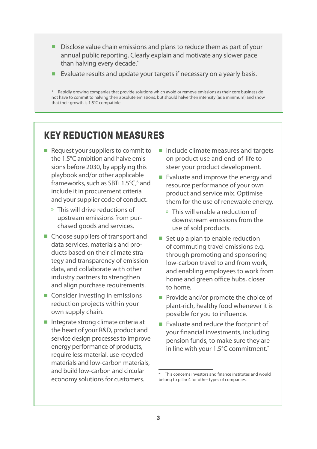- Disclose value chain emissions and plans to reduce them as part of your annual public reporting. Clearly explain and motivate any slower pace than halving every decade.<sup>\*</sup>
- Evaluate results and update your targets if necessary on a yearly basis.

#### **KEY REDUCTION MEASURES**

- Request your suppliers to commit to the 1.5°C ambition and halve emissions before 2030, by applying this playbook and/or other applicable frameworks, such as SBTi 1.5°C,<sup>6</sup> and include it in procurement criteria and your supplier code of conduct.
	- » This will drive reductions of upstream emissions from purchased goods and services.
- Choose suppliers of transport and data services, materials and products based on their climate strategy and transparency of emission data, and collaborate with other industry partners to strengthen and align purchase requirements.
- Consider investing in emissions reduction projects within your own supply chain.
- Integrate strong climate criteria at the heart of your R&D, product and service design processes to improve energy performance of products, require less material, use recycled materials and low-carbon materials, and build low-carbon and circular economy solutions for customers.
- Include climate measures and targets on product use and end-of-life to steer your product development.
- Evaluate and improve the energy and resource performance of your own product and service mix. Optimise them for the use of renewable energy.
	- » This will enable a reduction of downstream emissions from the use of sold products.
- Set up a plan to enable reduction of commuting travel emissions e.g. through promoting and sponsoring low-carbon travel to and from work, and enabling employees to work from home and green office hubs, closer to home.
- Provide and/or promote the choice of plant-rich, healthy food whenever it is possible for you to influence.
- Evaluate and reduce the footprint of your financial investments, including pension funds, to make sure they are in line with your 1.5°C commitment.<sup>\*</sup>

<sup>\*</sup> Rapidly growing companies that provide solutions which avoid or remove emissions as their core business do not have to commit to halving their absolute emissions, but should halve their intensity (as a minimum) and show that their growth is 1.5°C compatible.

This concerns investors and finance institutes and would belong to pillar 4 for other types of companies.